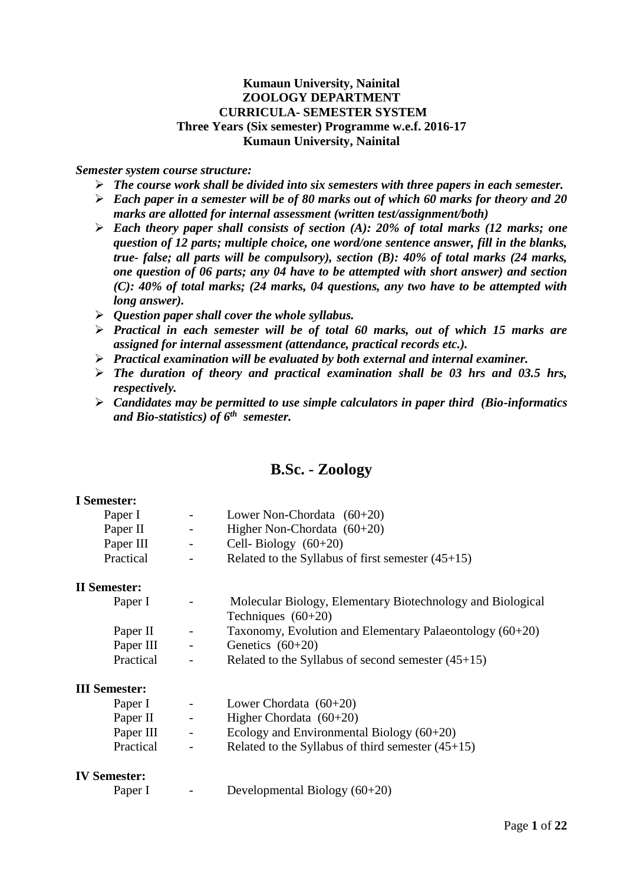## **Kumaun University, Nainital ZOOLOGY DEPARTMENT CURRICULA- SEMESTER SYSTEM Three Years (Six semester) Programme w.e.f. 2016-17 Kumaun University, Nainital**

#### *Semester system course structure:*

- *The course work shall be divided into six semesters with three papers in each semester.*
- *Each paper in a semester will be of 80 marks out of which 60 marks for theory and 20 marks are allotted for internal assessment (written test/assignment/both)*
- *Each theory paper shall consists of section (A): 20% of total marks (12 marks; one question of 12 parts; multiple choice, one word/one sentence answer, fill in the blanks, true- false; all parts will be compulsory), section (B): 40% of total marks (24 marks, one question of 06 parts; any 04 have to be attempted with short answer) and section (C): 40% of total marks; (24 marks, 04 questions, any two have to be attempted with long answer).*
- *Question paper shall cover the whole syllabus.*
- *Practical in each semester will be of total 60 marks, out of which 15 marks are assigned for internal assessment (attendance, practical records etc.).*
- *Practical examination will be evaluated by both external and internal examiner.*
- *The duration of theory and practical examination shall be 03 hrs and 03.5 hrs, respectively.*
- *Candidates may be permitted to use simple calculators in paper third (Bio-informatics and Bio-statistics) of 6th semester.*

## **B.Sc. - Zoology**

## **I Semester:**

| Lower Non-Chordata $(60+20)$                        |
|-----------------------------------------------------|
| Higher Non-Chordata $(60+20)$                       |
| Cell-Biology $(60+20)$                              |
| Related to the Syllabus of first semester $(45+15)$ |
|                                                     |

#### **II Semester:**

| .         |                          |                                                            |
|-----------|--------------------------|------------------------------------------------------------|
| Paper I   | $\overline{\phantom{a}}$ | Molecular Biology, Elementary Biotechnology and Biological |
|           |                          | Techniques $(60+20)$                                       |
| Paper II  | $\sim$ $-$               | Taxonomy, Evolution and Elementary Palaeontology $(60+20)$ |
| Paper III | $\sim$ $-$               | Genetics $(60+20)$                                         |
| Practical | $\overline{\phantom{0}}$ | Related to the Syllabus of second semester $(45+15)$       |

#### **III Semester:**

| Paper I   | $\sim$ | Lower Chordata $(60+20)$                            |
|-----------|--------|-----------------------------------------------------|
| Paper II  | $\sim$ | Higher Chordata $(60+20)$                           |
| Paper III | $\sim$ | Ecology and Environmental Biology $(60+20)$         |
| Practical | $\sim$ | Related to the Syllabus of third semester $(45+15)$ |

#### **IV Semester:**

| Paper I |  | Developmental Biology (60+20) |  |  |
|---------|--|-------------------------------|--|--|
|---------|--|-------------------------------|--|--|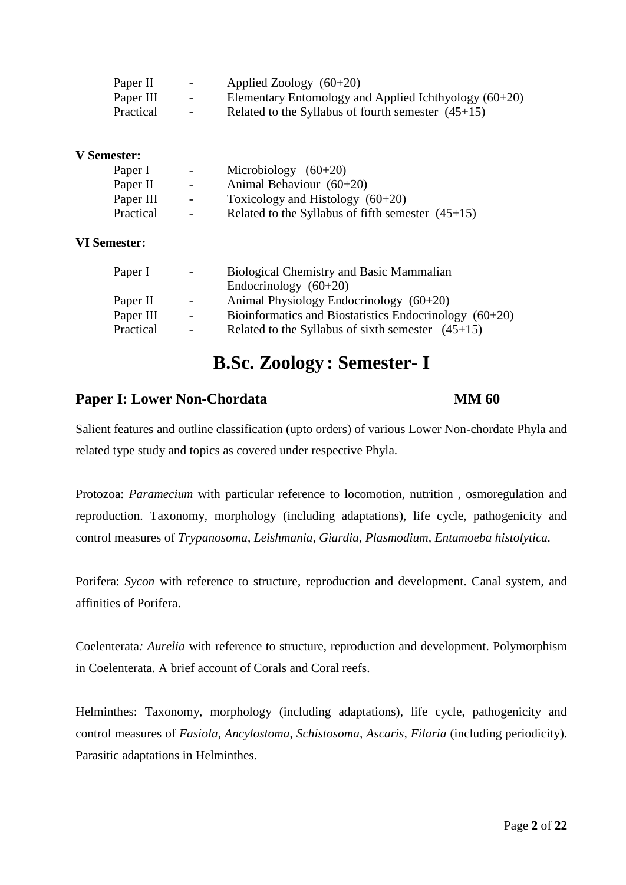| Paper II  | $\overline{\phantom{0}}$ | Applied Zoology $(60+20)$                               |
|-----------|--------------------------|---------------------------------------------------------|
| Paper III | $\sim$                   | Elementary Entomology and Applied Ichthyology $(60+20)$ |
| Practical | $\overline{\phantom{0}}$ | Related to the Syllabus of fourth semester $(45+15)$    |

## **V Semester:**

| Paper I   | $\overline{\phantom{0}}$ | Microbiology $(60+20)$                              |
|-----------|--------------------------|-----------------------------------------------------|
| Paper II  | $\blacksquare$           | Animal Behaviour $(60+20)$                          |
| Paper III | $\sim$                   | Toxicology and Histology $(60+20)$                  |
| Practical | $\sim$                   | Related to the Syllabus of fifth semester $(45+15)$ |

### **VI Semester:**

| Paper I   | $\sim$                   | <b>Biological Chemistry and Basic Mammalian</b>          |  |  |
|-----------|--------------------------|----------------------------------------------------------|--|--|
|           |                          | Endocrinology $(60+20)$                                  |  |  |
| Paper II  | $\overline{\phantom{a}}$ | Animal Physiology Endocrinology $(60+20)$                |  |  |
| Paper III | $\sim$                   | Bioinformatics and Biostatistics Endocrinology $(60+20)$ |  |  |
| Practical | $\overline{\phantom{a}}$ | Related to the Syllabus of sixth semester $(45+15)$      |  |  |

# **B.Sc. Zoology : Semester- I**

## **Paper I: Lower Non-Chordata MM 60**

Salient features and outline classification (upto orders) of various Lower Non-chordate Phyla and related type study and topics as covered under respective Phyla.

Protozoa: *Paramecium* with particular reference to locomotion, nutrition , osmoregulation and reproduction. Taxonomy, morphology (including adaptations), life cycle, pathogenicity and control measures of *Trypanosoma*, *Leishmania, Giardia, Plasmodium, Entamoeba histolytica.*

Porifera: *Sycon* with reference to structure, reproduction and development. Canal system, and affinities of Porifera.

Coelenterata*: Aurelia* with reference to structure, reproduction and development. Polymorphism in Coelenterata. A brief account of Corals and Coral reefs.

Helminthes: Taxonomy, morphology (including adaptations), life cycle, pathogenicity and control measures of *Fasiola, Ancylostoma*, *Schistosoma, Ascaris, Filaria* (including periodicity). Parasitic adaptations in Helminthes.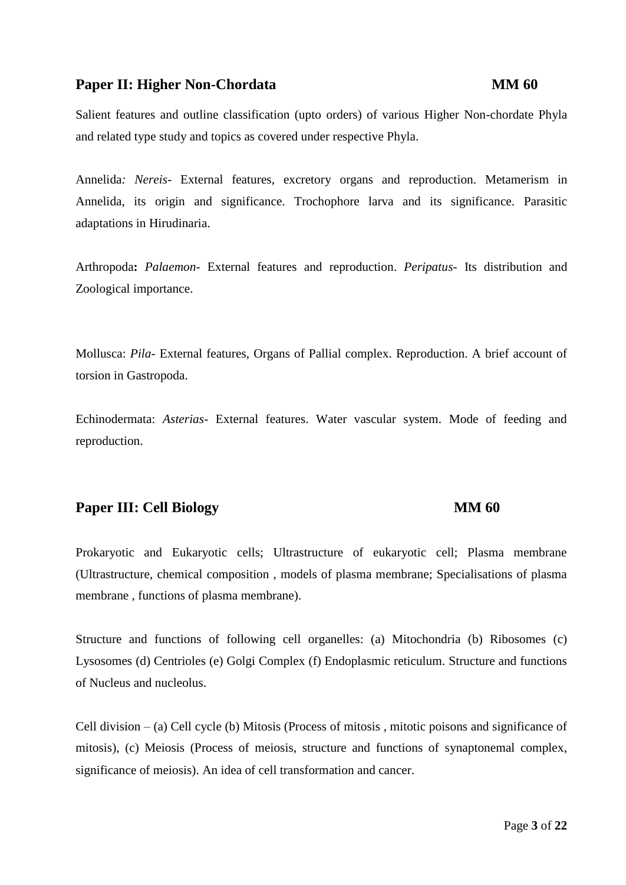## **Paper II: Higher Non-Chordata MM 60**

Salient features and outline classification (upto orders) of various Higher Non-chordate Phyla and related type study and topics as covered under respective Phyla.

Annelida*: Nereis*- External features, excretory organs and reproduction. Metamerism in Annelida, its origin and significance. Trochophore larva and its significance. Parasitic adaptations in Hirudinaria.

Arthropoda**:** *Palaemon-* External features and reproduction. *Peripatus-* Its distribution and Zoological importance.

Mollusca: *Pila*- External features, Organs of Pallial complex. Reproduction. A brief account of torsion in Gastropoda.

Echinodermata: *Asterias*- External features. Water vascular system. Mode of feeding and reproduction.

## **Paper III:** Cell Biology **MM 60**

Prokaryotic and Eukaryotic cells; Ultrastructure of eukaryotic cell; Plasma membrane (Ultrastructure, chemical composition , models of plasma membrane; Specialisations of plasma membrane , functions of plasma membrane).

Structure and functions of following cell organelles: (a) Mitochondria (b) Ribosomes (c) Lysosomes (d) Centrioles (e) Golgi Complex (f) Endoplasmic reticulum. Structure and functions of Nucleus and nucleolus.

Cell division – (a) Cell cycle (b) Mitosis (Process of mitosis , mitotic poisons and significance of mitosis), (c) Meiosis (Process of meiosis, structure and functions of synaptonemal complex, significance of meiosis). An idea of cell transformation and cancer.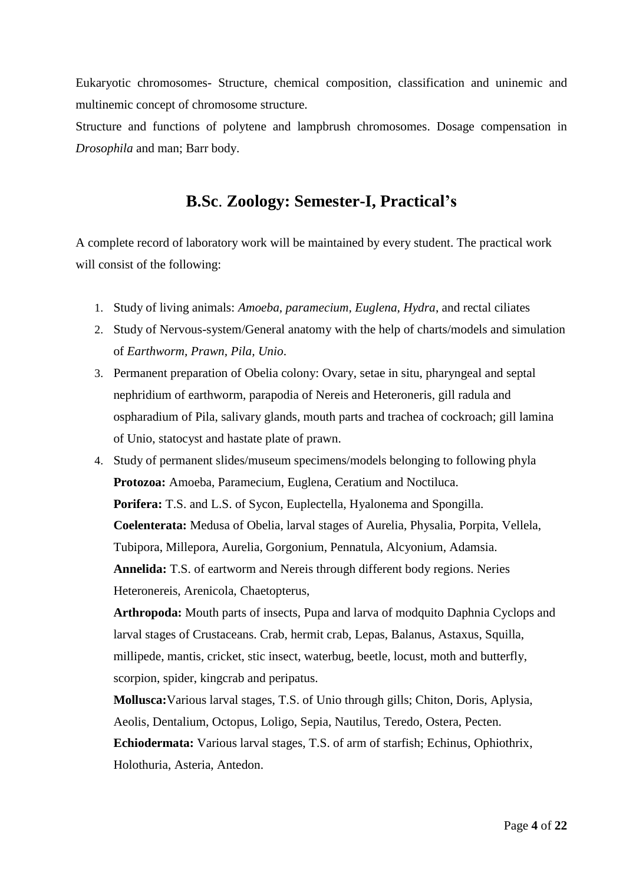Eukaryotic chromosomes- Structure, chemical composition, classification and uninemic and multinemic concept of chromosome structure.

Structure and functions of polytene and lampbrush chromosomes. Dosage compensation in *Drosophila* and man; Barr body.

## **B.Sc**. **Zoology: Semester-I, Practical's**

A complete record of laboratory work will be maintained by every student. The practical work will consist of the following:

- 1. Study of living animals: *Amoeba, paramecium, Euglena, Hydra*, and rectal ciliates
- 2. Study of Nervous-system/General anatomy with the help of charts/models and simulation of *Earthworm, Prawn, Pila, Unio*.
- 3. Permanent preparation of Obelia colony: Ovary, setae in situ, pharyngeal and septal nephridium of earthworm, parapodia of Nereis and Heteroneris, gill radula and ospharadium of Pila, salivary glands, mouth parts and trachea of cockroach; gill lamina of Unio, statocyst and hastate plate of prawn.
- 4. Study of permanent slides/museum specimens/models belonging to following phyla **Protozoa:** Amoeba, Paramecium, Euglena, Ceratium and Noctiluca. **Porifera:** T.S. and L.S. of Sycon, Euplectella, Hyalonema and Spongilla. **Coelenterata:** Medusa of Obelia, larval stages of Aurelia, Physalia, Porpita, Vellela, Tubipora, Millepora, Aurelia, Gorgonium, Pennatula, Alcyonium, Adamsia. **Annelida:** T.S. of eartworm and Nereis through different body regions. Neries Heteronereis, Arenicola, Chaetopterus,

**Arthropoda:** Mouth parts of insects, Pupa and larva of modquito Daphnia Cyclops and larval stages of Crustaceans. Crab, hermit crab, Lepas, Balanus, Astaxus, Squilla, millipede, mantis, cricket, stic insect, waterbug, beetle, locust, moth and butterfly, scorpion, spider, kingcrab and peripatus.

**Mollusca:**Various larval stages, T.S. of Unio through gills; Chiton, Doris, Aplysia, Aeolis, Dentalium, Octopus, Loligo, Sepia, Nautilus, Teredo, Ostera, Pecten. **Echiodermata:** Various larval stages, T.S. of arm of starfish; Echinus, Ophiothrix, Holothuria, Asteria, Antedon.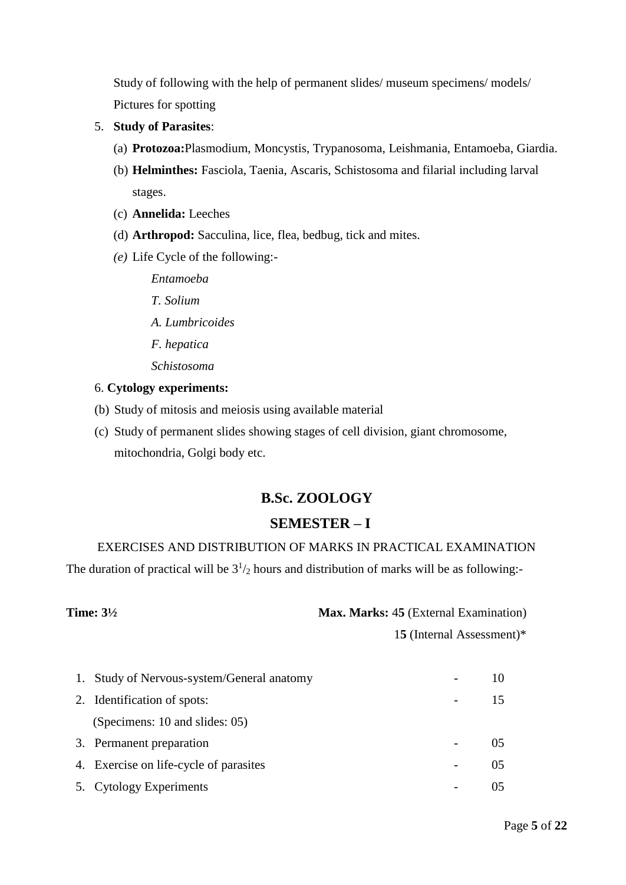Study of following with the help of permanent slides/ museum specimens/ models/ Pictures for spotting

- 5. **Study of Parasites**:
	- (a) **Protozoa:**Plasmodium, Moncystis, Trypanosoma, Leishmania, Entamoeba, Giardia.
	- (b) **Helminthes:** Fasciola, Taenia, Ascaris, Schistosoma and filarial including larval stages.
	- (c) **Annelida:** Leeches
	- (d) **Arthropod:** Sacculina, lice, flea, bedbug, tick and mites.
	- *(e)* Life Cycle of the following:-
		- *Entamoeba*
		- *T. Solium*
		- *A. Lumbricoides*
		- *F. hepatica*
		- *Schistosoma*

#### 6. **Cytology experiments:**

- (b) Study of mitosis and meiosis using available material
- (c) Study of permanent slides showing stages of cell division, giant chromosome, mitochondria, Golgi body etc.

## **B.Sc. ZOOLOGY**

## **SEMESTER – I**

## EXERCISES AND DISTRIBUTION OF MARKS IN PRACTICAL EXAMINATION

The duration of practical will be  $3^{1}/_{2}$  hours and distribution of marks will be as following:-

| <b>Time: 3½</b> | <b>Max. Marks: 45 (External Examination)</b> |
|-----------------|----------------------------------------------|
|                 | 15 (Internal Assessment)*                    |

| 1. Study of Nervous-system/General anatomy |     |
|--------------------------------------------|-----|
| 2. Identification of spots:                | 15  |
| (Specimens: 10 and slides: 05)             |     |
| 3. Permanent preparation                   |     |
| 4. Exercise on life-cycle of parasites     | 05. |
| 5. Cytology Experiments                    |     |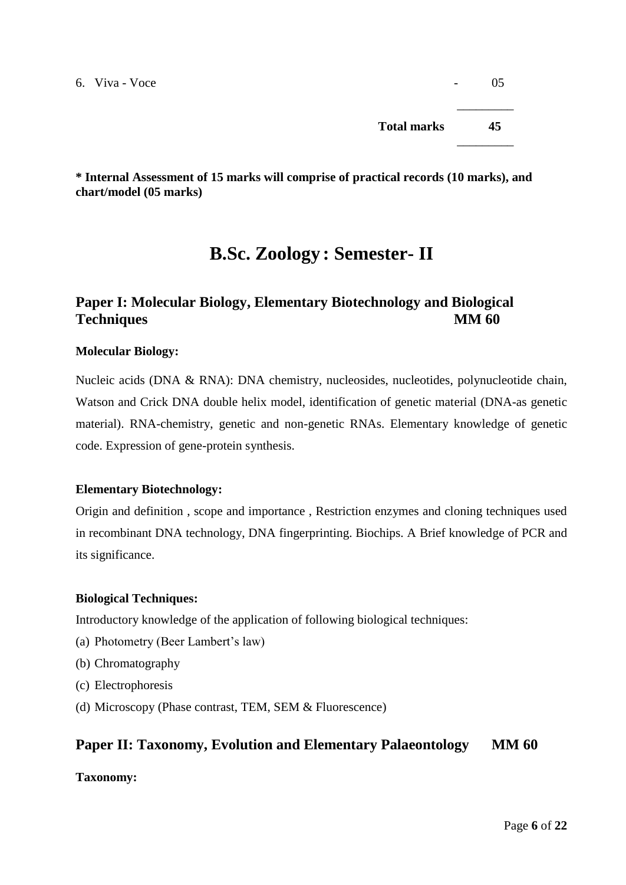$6. \text{Viva} - \text{Voce}$   $\qquad 05$ 

\_\_\_\_\_\_\_\_\_ **Total marks 45**

\_\_\_\_\_\_\_\_\_

**\* Internal Assessment of 15 marks will comprise of practical records (10 marks), and chart/model (05 marks)**

# **B.Sc. Zoology : Semester- II**

## **Paper I: Molecular Biology, Elementary Biotechnology and Biological Techniques MM 60**

## **Molecular Biology:**

Nucleic acids (DNA & RNA): DNA chemistry, nucleosides, nucleotides, polynucleotide chain, Watson and Crick DNA double helix model, identification of genetic material (DNA-as genetic material). RNA-chemistry, genetic and non-genetic RNAs. Elementary knowledge of genetic code. Expression of gene-protein synthesis.

## **Elementary Biotechnology:**

Origin and definition , scope and importance , Restriction enzymes and cloning techniques used in recombinant DNA technology, DNA fingerprinting. Biochips. A Brief knowledge of PCR and its significance.

## **Biological Techniques:**

Introductory knowledge of the application of following biological techniques:

- (a) Photometry (Beer Lambert's law)
- (b) Chromatography
- (c) Electrophoresis
- (d) Microscopy (Phase contrast, TEM, SEM & Fluorescence)

## **Paper II: Taxonomy, Evolution and Elementary Palaeontology MM 60**

## **Taxonomy:**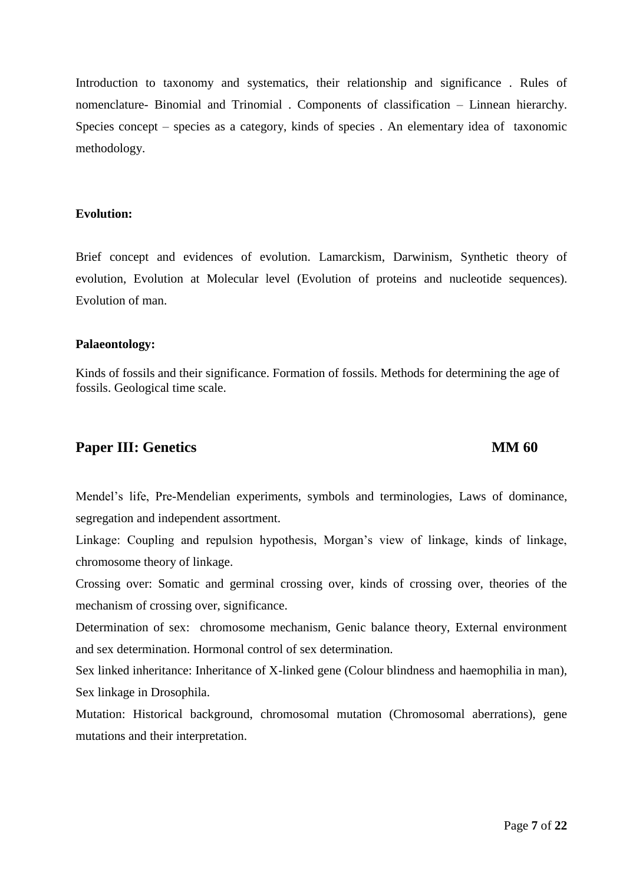Brief concept and evidences of evolution. Lamarckism, Darwinism, Synthetic theory of evolution, Evolution at Molecular level (Evolution of proteins and nucleotide sequences). Evolution of man.

Introduction to taxonomy and systematics, their relationship and significance . Rules of

nomenclature- Binomial and Trinomial . Components of classification – Linnean hierarchy.

Species concept – species as a category, kinds of species . An elementary idea of taxonomic

#### **Palaeontology:**

methodology.

**Evolution:**

Kinds of fossils and their significance. Formation of fossils. Methods for determining the age of fossils. Geological time scale.

## **Paper III: Genetics MM 60**

Mendel's life, Pre-Mendelian experiments, symbols and terminologies, Laws of dominance, segregation and independent assortment.

Linkage: Coupling and repulsion hypothesis, Morgan's view of linkage, kinds of linkage, chromosome theory of linkage.

Crossing over: Somatic and germinal crossing over, kinds of crossing over, theories of the mechanism of crossing over, significance.

Determination of sex: chromosome mechanism, Genic balance theory, External environment and sex determination. Hormonal control of sex determination.

Sex linked inheritance: Inheritance of X-linked gene (Colour blindness and haemophilia in man), Sex linkage in Drosophila.

Mutation: Historical background, chromosomal mutation (Chromosomal aberrations), gene mutations and their interpretation.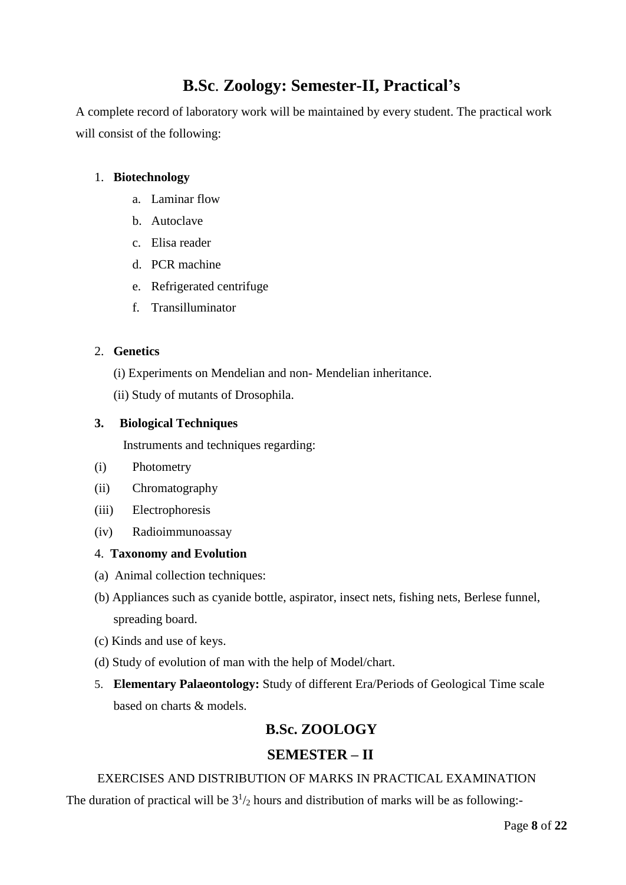# **B.Sc**. **Zoology: Semester-II, Practical's**

A complete record of laboratory work will be maintained by every student. The practical work will consist of the following:

## 1. **Biotechnology**

- a. Laminar flow
- b. Autoclave
- c. Elisa reader
- d. PCR machine
- e. Refrigerated centrifuge
- f. Transilluminator

## 2. **Genetics**

- (i) Experiments on Mendelian and non- Mendelian inheritance.
- (ii) Study of mutants of Drosophila.

## **3. Biological Techniques**

Instruments and techniques regarding:

- (i) Photometry
- (ii) Chromatography
- (iii) Electrophoresis
- (iv) Radioimmunoassay

## 4. **Taxonomy and Evolution**

- (a) Animal collection techniques:
- (b) Appliances such as cyanide bottle, aspirator, insect nets, fishing nets, Berlese funnel, spreading board.
- (c) Kinds and use of keys.
- (d) Study of evolution of man with the help of Model/chart.
- 5. **Elementary Palaeontology:** Study of different Era/Periods of Geological Time scale based on charts & models.

## **B.Sc. ZOOLOGY**

## **SEMESTER – II**

## EXERCISES AND DISTRIBUTION OF MARKS IN PRACTICAL EXAMINATION

The duration of practical will be  $3^{1}/_{2}$  hours and distribution of marks will be as following:-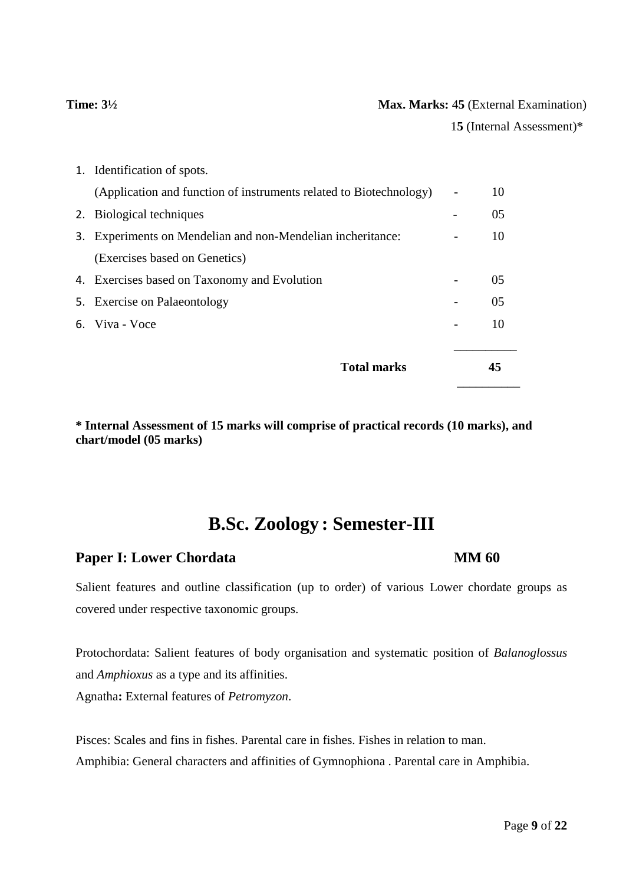## **Time:**  $3\frac{1}{2}$  **Max. Marks:** 45 (External Examination)

1**5** (Internal Assessment)\*

| <b>Total marks</b>                                                 |                          | 45 |
|--------------------------------------------------------------------|--------------------------|----|
| 6. Viva - Voce                                                     |                          | 10 |
| 5. Exercise on Palaeontology                                       |                          | 05 |
| 4. Exercises based on Taxonomy and Evolution                       |                          | 05 |
| (Exercises based on Genetics)                                      |                          |    |
| 3. Experiments on Mendelian and non-Mendelian incheritance:        |                          | 10 |
| 2. Biological techniques                                           |                          | 05 |
| (Application and function of instruments related to Biotechnology) | $\overline{\phantom{0}}$ | 10 |
| 1. Identification of spots.                                        |                          |    |

**\* Internal Assessment of 15 marks will comprise of practical records (10 marks), and chart/model (05 marks)**

# **B.Sc. Zoology : Semester-III**

## **Paper I:** Lower Chordata **MM 60**

## Salient features and outline classification (up to order) of various Lower chordate groups as covered under respective taxonomic groups.

Protochordata: Salient features of body organisation and systematic position of *Balanoglossus*  and *Amphioxus* as a type and its affinities.

Agnatha**:** External features of *Petromyzon*.

Pisces: Scales and fins in fishes. Parental care in fishes. Fishes in relation to man. Amphibia: General characters and affinities of Gymnophiona . Parental care in Amphibia.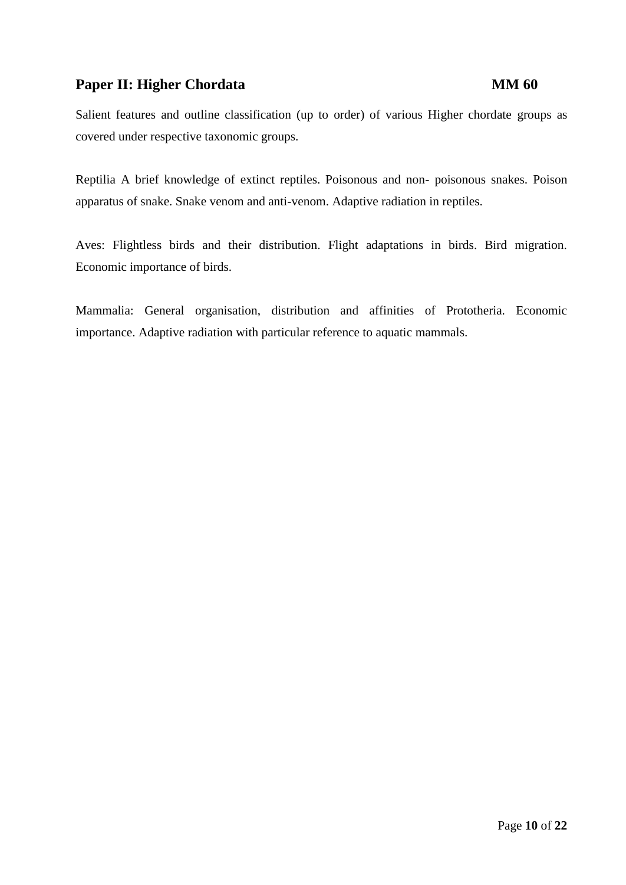## **Paper II: Higher Chordata MM 60**

Salient features and outline classification (up to order) of various Higher chordate groups as covered under respective taxonomic groups.

Reptilia A brief knowledge of extinct reptiles. Poisonous and non- poisonous snakes. Poison apparatus of snake. Snake venom and anti-venom. Adaptive radiation in reptiles.

Aves: Flightless birds and their distribution. Flight adaptations in birds. Bird migration. Economic importance of birds.

Mammalia: General organisation, distribution and affinities of Prototheria. Economic importance. Adaptive radiation with particular reference to aquatic mammals.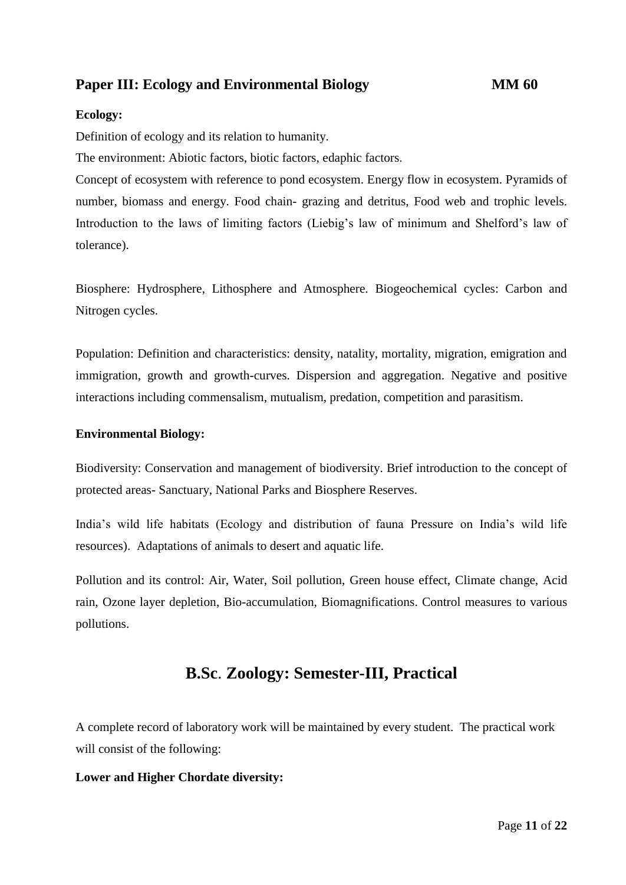## **Paper III: Ecology** and **Environmental Biology MM 60**

## **Ecology:**

Definition of ecology and its relation to humanity.

The environment: Abiotic factors, biotic factors, edaphic factors.

Concept of ecosystem with reference to pond ecosystem. Energy flow in ecosystem. Pyramids of number, biomass and energy. Food chain- grazing and detritus, Food web and trophic levels. Introduction to the laws of limiting factors (Liebig's law of minimum and Shelford's law of tolerance).

Biosphere: Hydrosphere, Lithosphere and Atmosphere. Biogeochemical cycles: Carbon and Nitrogen cycles.

Population: Definition and characteristics: density, natality, mortality, migration, emigration and immigration, growth and growth-curves. Dispersion and aggregation. Negative and positive interactions including commensalism, mutualism, predation, competition and parasitism.

#### **Environmental Biology:**

Biodiversity: Conservation and management of biodiversity. Brief introduction to the concept of protected areas- Sanctuary, National Parks and Biosphere Reserves.

India's wild life habitats (Ecology and distribution of fauna Pressure on India's wild life resources). Adaptations of animals to desert and aquatic life.

Pollution and its control: Air, Water, Soil pollution, Green house effect, Climate change, Acid rain, Ozone layer depletion, Bio-accumulation, Biomagnifications. Control measures to various pollutions.

## **B.Sc**. **Zoology: Semester-III, Practical**

A complete record of laboratory work will be maintained by every student. The practical work will consist of the following:

## **Lower and Higher Chordate diversity:**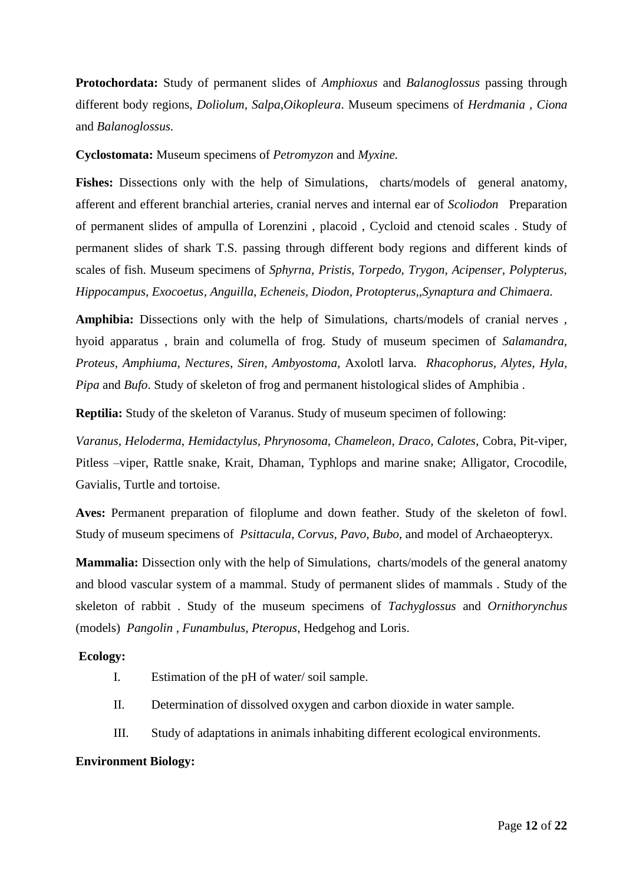**Protochordata:** Study of permanent slides of *Amphioxus* and *Balanoglossus* passing through different body regions, *Doliolum, Salpa,Oikopleura*. Museum specimens of *Herdmania , Ciona* and *Balanoglossus.*

**Cyclostomata:** Museum specimens of *Petromyzon* and *Myxine.*

**Fishes:** Dissections only with the help of Simulations, charts/models of general anatomy, afferent and efferent branchial arteries, cranial nerves and internal ear of *Scoliodon* Preparation of permanent slides of ampulla of Lorenzini , placoid , Cycloid and ctenoid scales . Study of permanent slides of shark T.S. passing through different body regions and different kinds of scales of fish. Museum specimens of *Sphyrna, Pristis, Torpedo, Trygon, Acipenser, Polypterus, Hippocampus, Exocoetus, Anguilla, Echeneis, Diodon, Protopterus,,Synaptura and Chimaera.*

**Amphibia:** Dissections only with the help of Simulations, charts/models of cranial nerves , hyoid apparatus , brain and columella of frog. Study of museum specimen of *Salamandra, Proteus, Amphiuma, Nectures, Siren, Ambyostoma,* Axolotl larva. *Rhacophorus, Alytes, Hyla, Pipa* and *Bufo*. Study of skeleton of frog and permanent histological slides of Amphibia .

**Reptilia:** Study of the skeleton of Varanus. Study of museum specimen of following:

*Varanus, Heloderma, Hemidactylus, Phrynosoma, Chameleon, Draco, Calotes,* Cobra, Pit-viper, Pitless –viper, Rattle snake, Krait, Dhaman, Typhlops and marine snake; Alligator, Crocodile, Gavialis, Turtle and tortoise.

**Aves:** Permanent preparation of filoplume and down feather. Study of the skeleton of fowl. Study of museum specimens of *Psittacula, Corvus, Pavo, Bubo*, and model of Archaeopteryx.

**Mammalia:** Dissection only with the help of Simulations, charts/models of the general anatomy and blood vascular system of a mammal. Study of permanent slides of mammals . Study of the skeleton of rabbit . Study of the museum specimens of *Tachyglossus* and *Ornithorynchus*  (models) *Pangolin , Funambulus, Pteropus*, Hedgehog and Loris.

#### **Ecology:**

- I. Estimation of the pH of water/ soil sample.
- II. Determination of dissolved oxygen and carbon dioxide in water sample.
- III. Study of adaptations in animals inhabiting different ecological environments.

#### **Environment Biology:**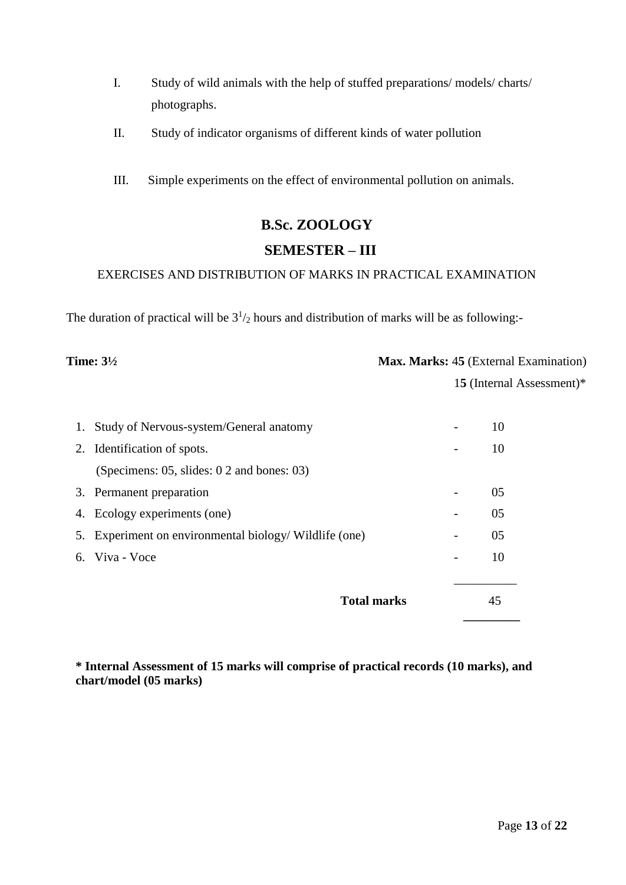- I. Study of wild animals with the help of stuffed preparations/ models/ charts/ photographs.
- II. Study of indicator organisms of different kinds of water pollution
- III. Simple experiments on the effect of environmental pollution on animals.

# **B.Sc. ZOOLOGY SEMESTER – III**

## EXERCISES AND DISTRIBUTION OF MARKS IN PRACTICAL EXAMINATION

The duration of practical will be  $3^{1}/_{2}$  hours and distribution of marks will be as following:-

| Time: $3\frac{1}{2}$ | <b>Max. Marks: 45 (External Examination)</b> |
|----------------------|----------------------------------------------|
|                      | 15 (Internal Assessment)*                    |

| 1. Study of Nervous-system/General anatomy             |   | 10 |
|--------------------------------------------------------|---|----|
| 2. Identification of spots.                            |   | 10 |
| (Specimens: 05, slides: 0 2 and bones: 03)             |   |    |
| 3. Permanent preparation                               |   | 05 |
| 4. Ecology experiments (one)                           | - | 05 |
| 5. Experiment on environmental biology/ Wildlife (one) | - | 05 |
| 6. Viva - Voce                                         | - | 10 |
|                                                        |   |    |
| <b>Total marks</b>                                     |   | 45 |
|                                                        |   |    |

**\* Internal Assessment of 15 marks will comprise of practical records (10 marks), and chart/model (05 marks)**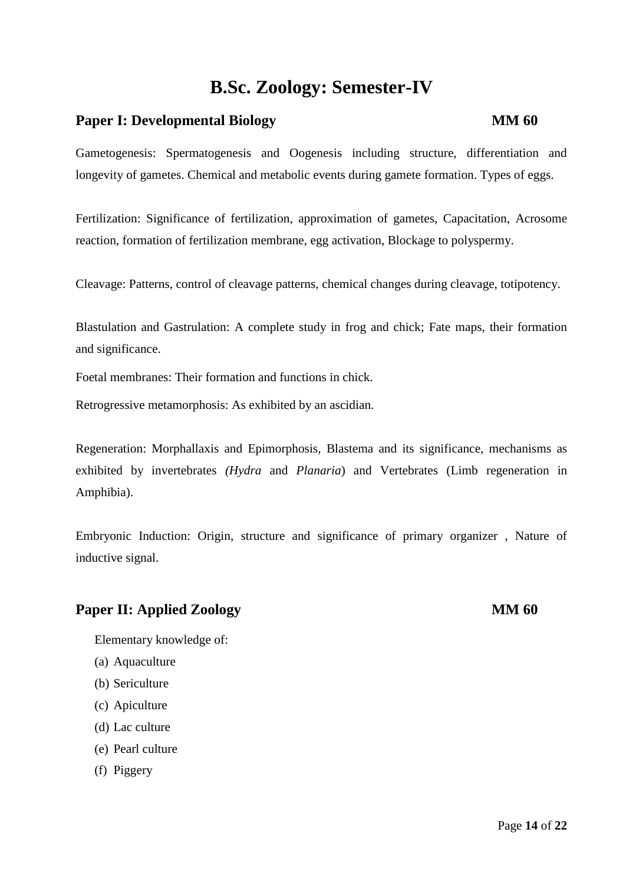# **B.Sc. Zoology: Semester-IV**

## **Paper I: Developmental Biology MM 60**

Gametogenesis: Spermatogenesis and Oogenesis including structure, differentiation and longevity of gametes. Chemical and metabolic events during gamete formation. Types of eggs.

Fertilization: Significance of fertilization, approximation of gametes, Capacitation, Acrosome reaction, formation of fertilization membrane, egg activation, Blockage to polyspermy.

Cleavage: Patterns, control of cleavage patterns, chemical changes during cleavage, totipotency.

Blastulation and Gastrulation: A complete study in frog and chick; Fate maps, their formation and significance.

Foetal membranes: Their formation and functions in chick.

Retrogressive metamorphosis: As exhibited by an ascidian.

Regeneration: Morphallaxis and Epimorphosis, Blastema and its significance, mechanisms as exhibited by invertebrates *(Hydra* and *Planaria*) and Vertebrates (Limb regeneration in Amphibia).

Embryonic Induction: Origin, structure and significance of primary organizer , Nature of inductive signal.

## **Paper II:** Applied Zoology **MM 60**

Elementary knowledge of:

- (a) Aquaculture
- (b) Sericulture
- (c) Apiculture
- (d) Lac culture
- (e) Pearl culture
- (f) Piggery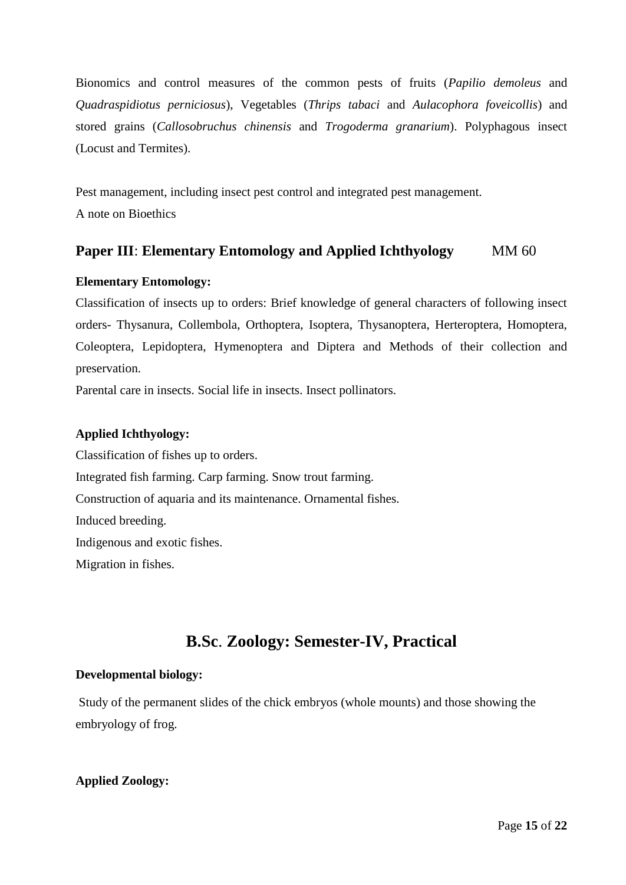Bionomics and control measures of the common pests of fruits (*Papilio demoleus* and *Quadraspidiotus perniciosus*), Vegetables (*Thrips tabaci* and *Aulacophora foveicollis*) and stored grains (*Callosobruchus chinensis* and *Trogoderma granarium*). Polyphagous insect (Locust and Termites).

Pest management, including insect pest control and integrated pest management. A note on Bioethics

## **Paper III: Elementary Entomology and Applied Ichthyology** MM 60

## **Elementary Entomology:**

Classification of insects up to orders: Brief knowledge of general characters of following insect orders- Thysanura, Collembola, Orthoptera, Isoptera, Thysanoptera, Herteroptera, Homoptera, Coleoptera, Lepidoptera, Hymenoptera and Diptera and Methods of their collection and preservation.

Parental care in insects. Social life in insects. Insect pollinators.

## **Applied Ichthyology:**

Classification of fishes up to orders. Integrated fish farming. Carp farming. Snow trout farming. Construction of aquaria and its maintenance. Ornamental fishes. Induced breeding. Indigenous and exotic fishes. Migration in fishes.

# **B.Sc**. **Zoology: Semester-IV, Practical**

## **Developmental biology:**

Study of the permanent slides of the chick embryos (whole mounts) and those showing the embryology of frog.

## **Applied Zoology:**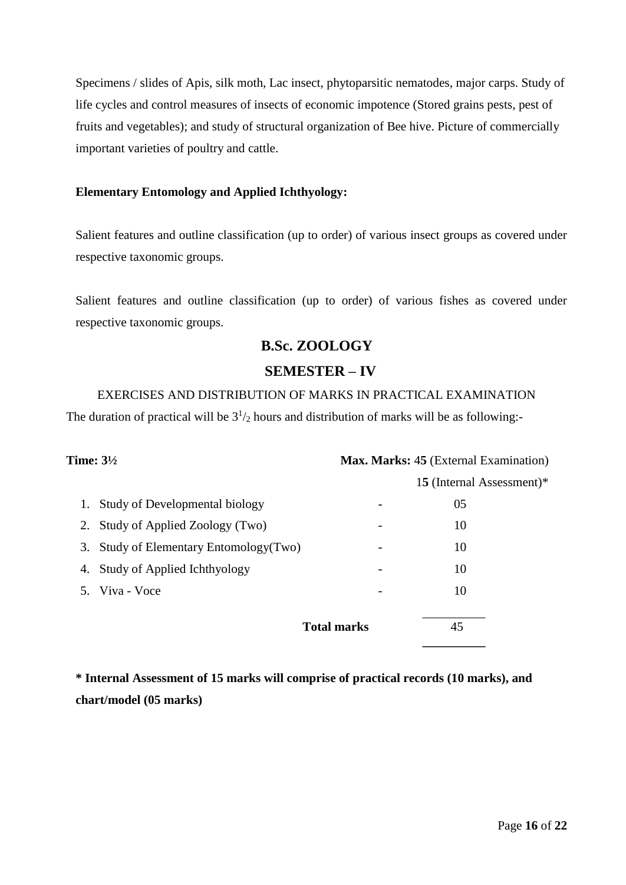Specimens / slides of Apis, silk moth, Lac insect, phytoparsitic nematodes, major carps. Study of life cycles and control measures of insects of economic impotence (Stored grains pests, pest of fruits and vegetables); and study of structural organization of Bee hive. Picture of commercially important varieties of poultry and cattle.

## **Elementary Entomology and Applied Ichthyology:**

Salient features and outline classification (up to order) of various insect groups as covered under respective taxonomic groups.

Salient features and outline classification (up to order) of various fishes as covered under respective taxonomic groups.

# **B.Sc. ZOOLOGY**

## **SEMESTER – IV**

EXERCISES AND DISTRIBUTION OF MARKS IN PRACTICAL EXAMINATION

The duration of practical will be  $3^{1}/_{2}$  hours and distribution of marks will be as following:-

| Time: $3\frac{1}{2}$ |                                       |                    | Max. Marks: 45 (External Examination) |
|----------------------|---------------------------------------|--------------------|---------------------------------------|
|                      |                                       |                    | 15 (Internal Assessment)*             |
|                      | <b>Study of Developmental biology</b> |                    | 05                                    |
|                      | 2. Study of Applied Zoology (Two)     |                    | 10                                    |
| 3.                   | Study of Elementary Entomology (Two)  |                    | 10                                    |
|                      | 4. Study of Applied Ichthyology       |                    | 10                                    |
|                      | 5. Viva - Voce                        | -                  | 10                                    |
|                      |                                       | <b>Total marks</b> | 45                                    |
|                      |                                       |                    |                                       |

**\* Internal Assessment of 15 marks will comprise of practical records (10 marks), and chart/model (05 marks)**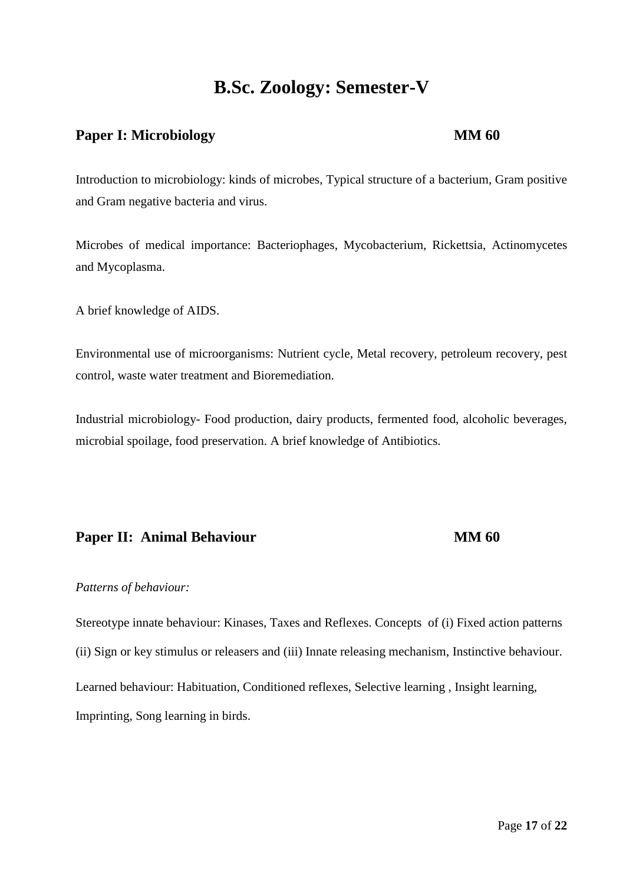# **B.Sc. Zoology: Semester-V**

## **Paper I:** Microbiology **MM 60**

Introduction to microbiology: kinds of microbes, Typical structure of a bacterium, Gram positive and Gram negative bacteria and virus.

Microbes of medical importance: Bacteriophages, Mycobacterium, Rickettsia, Actinomycetes and Mycoplasma.

A brief knowledge of AIDS.

Environmental use of microorganisms: Nutrient cycle, Metal recovery, petroleum recovery, pest control, waste water treatment and Bioremediation.

Industrial microbiology- Food production, dairy products, fermented food, alcoholic beverages, microbial spoilage, food preservation. A brief knowledge of Antibiotics.

## **Paper II: Animal Behaviour MM 60**

## *Patterns of behaviour:*

Stereotype innate behaviour: Kinases, Taxes and Reflexes. Concepts of (i) Fixed action patterns (ii) Sign or key stimulus or releasers and (iii) Innate releasing mechanism, Instinctive behaviour. Learned behaviour: Habituation, Conditioned reflexes, Selective learning , Insight learning, Imprinting, Song learning in birds.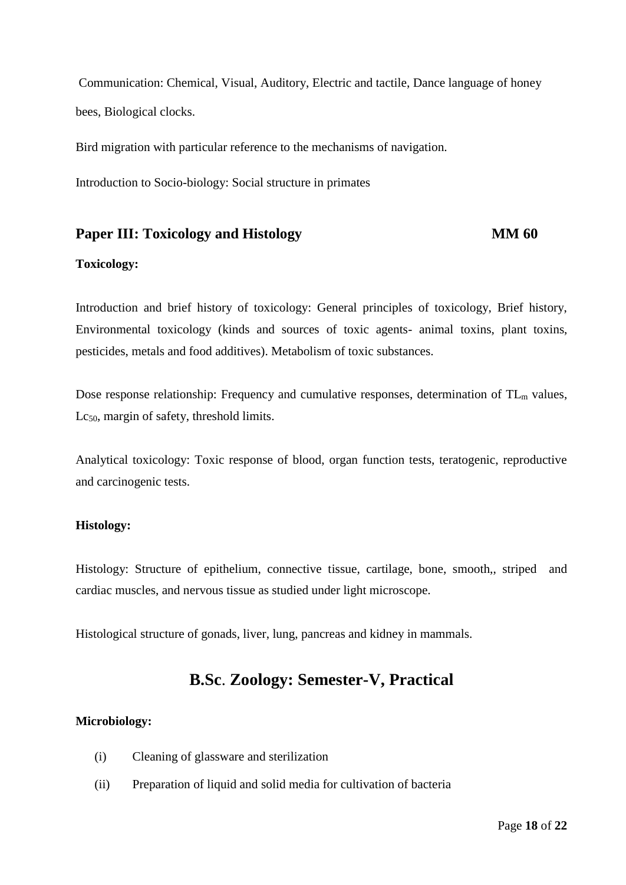Communication: Chemical, Visual, Auditory, Electric and tactile, Dance language of honey bees, Biological clocks.

Bird migration with particular reference to the mechanisms of navigation.

Introduction to Socio-biology: Social structure in primates

## **Paper III: Toxicology and Histology MM 60**

#### **Toxicology:**

Introduction and brief history of toxicology: General principles of toxicology, Brief history, Environmental toxicology (kinds and sources of toxic agents- animal toxins, plant toxins, pesticides, metals and food additives). Metabolism of toxic substances.

Dose response relationship: Frequency and cumulative responses, determination of TL<sub>m</sub> values, Lc<sub>50</sub>, margin of safety, threshold limits.

Analytical toxicology: Toxic response of blood, organ function tests, teratogenic, reproductive and carcinogenic tests.

## **Histology:**

Histology: Structure of epithelium, connective tissue, cartilage, bone, smooth,, striped and cardiac muscles, and nervous tissue as studied under light microscope.

Histological structure of gonads, liver, lung, pancreas and kidney in mammals.

## **B.Sc**. **Zoology: Semester-V, Practical**

### **Microbiology:**

- (i) Cleaning of glassware and sterilization
- (ii) Preparation of liquid and solid media for cultivation of bacteria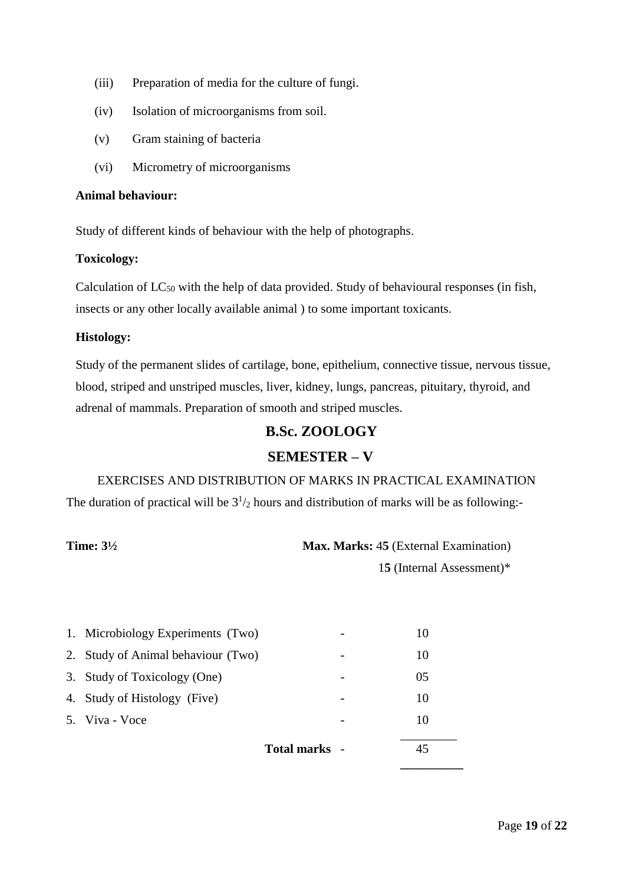- (iii) Preparation of media for the culture of fungi.
- (iv) Isolation of microorganisms from soil.
- (v) Gram staining of bacteria
- (vi) Micrometry of microorganisms

#### **Animal behaviour:**

Study of different kinds of behaviour with the help of photographs.

## **Toxicology:**

Calculation of  $LC_{50}$  with the help of data provided. Study of behavioural responses (in fish, insects or any other locally available animal ) to some important toxicants.

## **Histology:**

Study of the permanent slides of cartilage, bone, epithelium, connective tissue, nervous tissue, blood, striped and unstriped muscles, liver, kidney, lungs, pancreas, pituitary, thyroid, and adrenal of mammals. Preparation of smooth and striped muscles.

## **B.Sc. ZOOLOGY**

## **SEMESTER – V**

## EXERCISES AND DISTRIBUTION OF MARKS IN PRACTICAL EXAMINATION

The duration of practical will be  $3^{1}/_{2}$  hours and distribution of marks will be as following:-

**Time:**  $3\frac{1}{2}$  **Max. Marks:** 45 (External Examination)

1**5** (Internal Assessment)\*

| 1. Microbiology Experiments (Two)  |               | 10 |  |
|------------------------------------|---------------|----|--|
| 2. Study of Animal behaviour (Two) |               | 10 |  |
| 3. Study of Toxicology (One)       |               | 05 |  |
| 4. Study of Histology (Five)       |               | 10 |  |
| 5. Viva - Voce                     |               | 10 |  |
|                                    | Total marks - |    |  |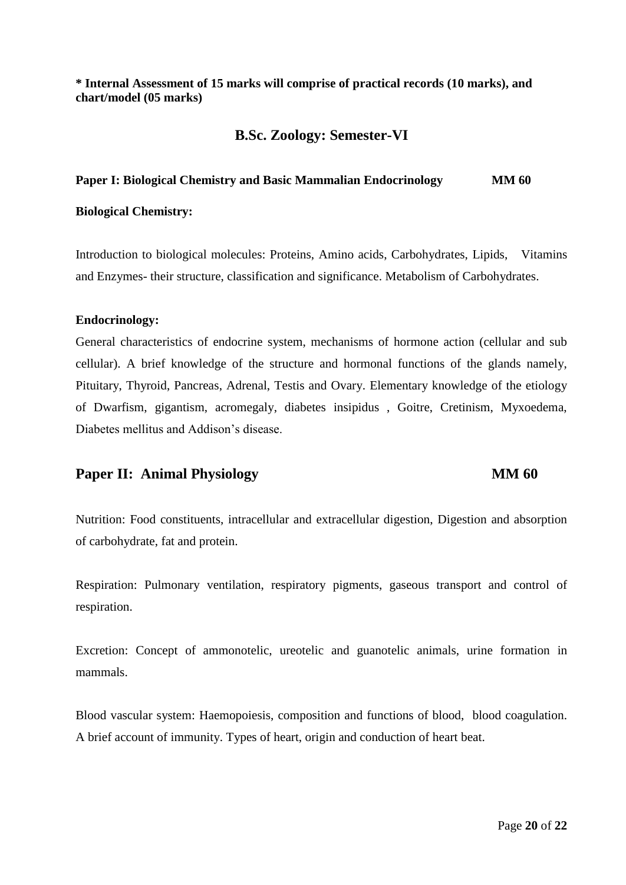## **\* Internal Assessment of 15 marks will comprise of practical records (10 marks), and chart/model (05 marks)**

## **B.Sc. Zoology: Semester-VI**

## **Paper I: Biological Chemistry and Basic Mammalian Endocrinology MM 60**

#### **Biological Chemistry:**

Introduction to biological molecules: Proteins, Amino acids, Carbohydrates, Lipids, Vitamins and Enzymes- their structure, classification and significance. Metabolism of Carbohydrates.

#### **Endocrinology:**

General characteristics of endocrine system, mechanisms of hormone action (cellular and sub cellular). A brief knowledge of the structure and hormonal functions of the glands namely, Pituitary, Thyroid, Pancreas, Adrenal, Testis and Ovary. Elementary knowledge of the etiology of Dwarfism, gigantism, acromegaly, diabetes insipidus , Goitre, Cretinism, Myxoedema, Diabetes mellitus and Addison's disease.

## **Paper II:** Animal Physiology **MM 60**

Nutrition: Food constituents, intracellular and extracellular digestion, Digestion and absorption of carbohydrate, fat and protein.

Respiration: Pulmonary ventilation, respiratory pigments, gaseous transport and control of respiration.

Excretion: Concept of ammonotelic, ureotelic and guanotelic animals, urine formation in mammals.

Blood vascular system: Haemopoiesis, composition and functions of blood, blood coagulation. A brief account of immunity. Types of heart, origin and conduction of heart beat.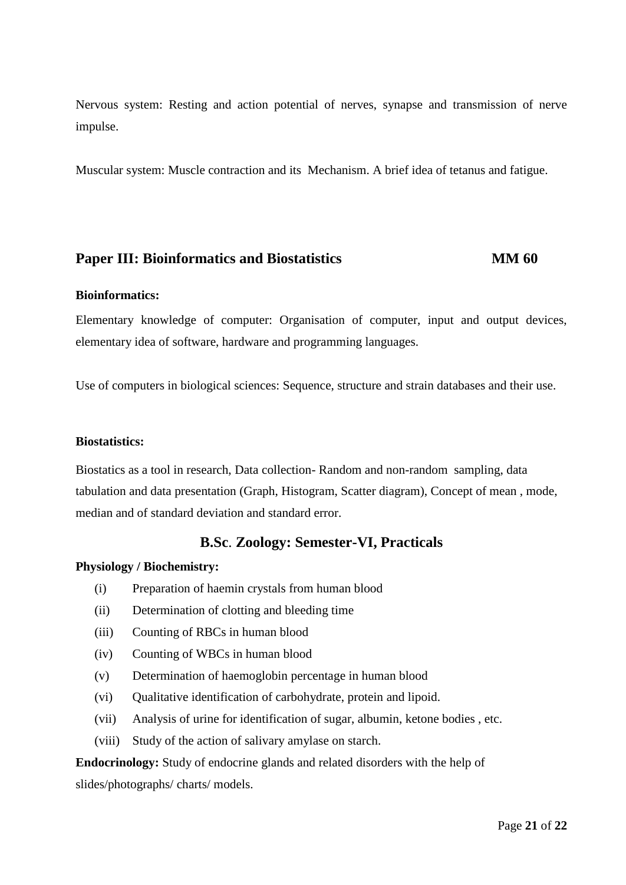Nervous system: Resting and action potential of nerves, synapse and transmission of nerve impulse.

Muscular system: Muscle contraction and its Mechanism. A brief idea of tetanus and fatigue.

## **Paper III: Bioinformatics and Biostatistics <b>MM 60**

#### **Bioinformatics:**

Elementary knowledge of computer: Organisation of computer, input and output devices, elementary idea of software, hardware and programming languages.

Use of computers in biological sciences: Sequence, structure and strain databases and their use.

#### **Biostatistics:**

Biostatics as a tool in research, Data collection- Random and non-random sampling, data tabulation and data presentation (Graph, Histogram, Scatter diagram), Concept of mean , mode, median and of standard deviation and standard error.

## **B.Sc**. **Zoology: Semester-VI, Practicals**

#### **Physiology / Biochemistry:**

- (i) Preparation of haemin crystals from human blood
- (ii) Determination of clotting and bleeding time
- (iii) Counting of RBCs in human blood
- (iv) Counting of WBCs in human blood
- (v) Determination of haemoglobin percentage in human blood
- (vi) Qualitative identification of carbohydrate, protein and lipoid.
- (vii) Analysis of urine for identification of sugar, albumin, ketone bodies , etc.
- (viii) Study of the action of salivary amylase on starch.

# **Endocrinology:** Study of endocrine glands and related disorders with the help of slides/photographs/ charts/ models.